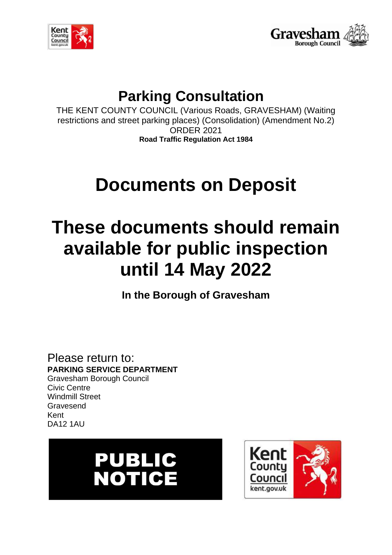



## **Parking Consultation**

THE KENT COUNTY COUNCIL (Various Roads, GRAVESHAM) (Waiting restrictions and street parking places) (Consolidation) (Amendment No.2) ORDER 2021 **Road Traffic Regulation Act 1984**

# **Documents on Deposit**

## **These documents should remain available for public inspection until 14 May 2022**

**In the Borough of Gravesham**

Please return to: **PARKING SERVICE DEPARTMENT** Gravesham Borough Council Civic Centre Windmill Street Gravesend Kent DA12 1AU



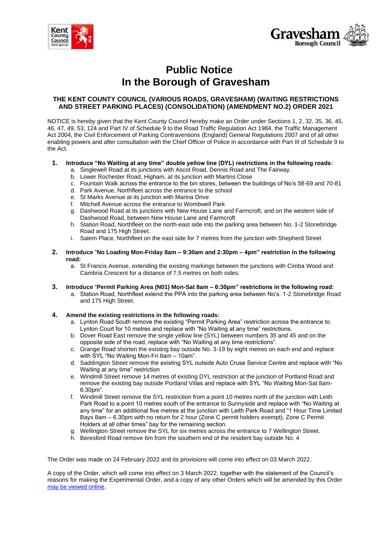



## **Public Notice In the Borough of Gravesham**

#### **THE KENT COUNTY COUNCIL (VARIOUS ROADS, GRAVESHAM) (WAITING RESTRICTIONS AND STREET PARKING PLACES) (CONSOLIDATION) (AMENDMENT NO.2) ORDER 2021**

NOTICE is hereby given that the Kent County Council hereby make an Order under Sections 1, 2, 32, 35, 36, 45, 46, 47, 49, 53, 124 and Part IV of Schedule 9 to the Road Traffic Regulation Act 1984, the Traffic Management Act 2004, the Civil Enforcement of Parking Contraventions (England) General Regulations 2007 and of all other enabling powers and after consultation with the Chief Officer of Police in accordance with Part III of Schedule 9 to the Act.

#### **1. Introduce "No Waiting at any time" double yellow line (DYL) restrictions in the following roads:**

- a. Singlewell Road at its junctions with Ascot Road, Dennis Road and The Fairway.
- b. Lower Rochester Road, Higham, at its junction with Martins Close
- c. Fountain Walk across the entrance to the bin stores, between the buildings of No's 58-69 and 70-81
- d. Park Avenue, Northfleet across the entrance to the school
- e. St Marks Avenue at its junction with Marina Drive
- f. Mitchell Avenue across the entrance to Wombwell Park
- g. Dashwood Road at its junctions with New House Lane and Farmcroft, and on the western side of Dashwood Road, between New House Lane and Farmcroft
- h. Station Road, Northfleet on the north-east side into the parking area between No. 1-2 Stonebridge Road and 175 High Street.
- i. Salem Place, Northfleet on the east side for 7 metres from the junction with Shepherd Street
- **2. Introduce** "**No Loading Mon-Friday 8am – 9:30am and 2:30pm – 4pm" restriction in the following road:**
	- a. St Francis Avenue, extending the existing markings between the junctions with Cimba Wood and Cambria Crescent for a distance of 7.5 metres on both sides.
- **3. Introduce** "**Permit Parking Area (N01) Mon-Sat 8am – 6:30pm" restrictions in the following road:**
	- a. Station Road, Northfleet extend the PPA into the parking area between No's. 1-2 Stonebridge Road and 175 High Street.

#### **4. Amend the existing restrictions in the following roads:**

- a. Lynton Road South remove the existing "Permit Parking Area" restriction across the entrance to Lynton Court for 10 metres and replace with "No Waiting at any time" restrictions.
- b. Dover Road East remove the single yellow line (SYL) between numbers 35 and 45 and on the opposite side of the road, replace with "No Waiting at any time restrictions".
- c. Grange Road shorten the existing bay outside No. 3-19 by eight metres on each end and replace with SYL "No Waiting Mon-Fri 8am – 10am".
- d. Saddington Street remove the existing SYL outside Auto Cruse Service Centre and replace with "No Waiting at any time" restriction
- e. Windmill Street remove 14 metres of existing DYL restriction at the junction of Portland Road and remove the existing bay outside Portland Villas and replace with SYL "No Waiting Mon-Sat 8am-6:30pm".
- f. Windmill Street remove the SYL restriction from a point 10 metres north of the junction with Leith Park Road to a point 10 metres south of the entrance to Sunnyside and replace with "No Waiting at any time" for an additional five metres at the junction with Leith Park Road and "1 Hour Time Limited Bays 8am – 6.30pm with no return for 2 hour (Zone C permit holders exempt), Zone C Permit Holders at all other times" bay for the remaining section.
- g. Wellington Street remove the SYL for six metres across the entrance to 7 Wellington Street.
- h. Beresford Road remove 6m from the southern end of the resident bay outside No. 4

The Order was made on 24 February 2022 and its provisions will come into effect on 03 March 2022.

A copy of the Order, which will come into effect on 3 March 2022, together with the statement of the Council's reasons for making the Experimental Order, and a copy of any other Orders which will be amended by this Order [may be viewed online.](https://www/gravesham.gov.uk/parking-consultations)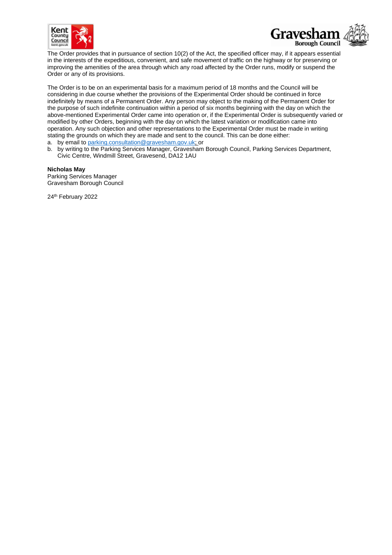



The Order provides that in pursuance of section 10(2) of the Act, the specified officer may, if it appears essential in the interests of the expeditious, convenient, and safe movement of traffic on the highway or for preserving or improving the amenities of the area through which any road affected by the Order runs, modify or suspend the Order or any of its provisions.

The Order is to be on an experimental basis for a maximum period of 18 months and the Council will be considering in due course whether the provisions of the Experimental Order should be continued in force indefinitely by means of a Permanent Order. Any person may object to the making of the Permanent Order for the purpose of such indefinite continuation within a period of six months beginning with the day on which the above-mentioned Experimental Order came into operation or, if the Experimental Order is subsequently varied or modified by other Orders, beginning with the day on which the latest variation or modification came into operation. Any such objection and other representations to the Experimental Order must be made in writing stating the grounds on which they are made and sent to the council. This can be done either:

a. by email to [parking.consultation@gravesham.gov.uk;](mailto:parking.consultation@gravesham.gov.uk) or

b. by writing to the Parking Services Manager, Gravesham Borough Council, Parking Services Department, Civic Centre, Windmill Street, Gravesend, DA12 1AU

**Nicholas May**

Parking Services Manager Gravesham Borough Council

24<sup>th</sup> February 2022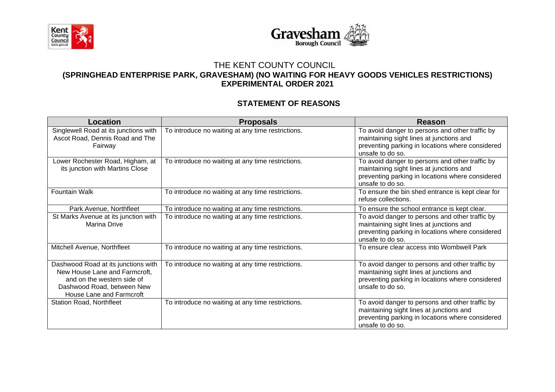



## THE KENT COUNTY COUNCIL

### **(SPRINGHEAD ENTERPRISE PARK, GRAVESHAM) (NO WAITING FOR HEAVY GOODS VEHICLES RESTRICTIONS) EXPERIMENTAL ORDER 2021**

## **STATEMENT OF REASONS**

| <b>Location</b>                                                                                                                                              | <b>Proposals</b>                                  | Reason                                                                                                                                                              |  |
|--------------------------------------------------------------------------------------------------------------------------------------------------------------|---------------------------------------------------|---------------------------------------------------------------------------------------------------------------------------------------------------------------------|--|
| Singlewell Road at its junctions with<br>Ascot Road, Dennis Road and The<br>Fairway                                                                          | To introduce no waiting at any time restrictions. | To avoid danger to persons and other traffic by<br>maintaining sight lines at junctions and<br>preventing parking in locations where considered<br>unsafe to do so. |  |
| Lower Rochester Road, Higham, at<br>its junction with Martins Close                                                                                          | To introduce no waiting at any time restrictions. | To avoid danger to persons and other traffic by<br>maintaining sight lines at junctions and<br>preventing parking in locations where considered<br>unsafe to do so. |  |
| <b>Fountain Walk</b>                                                                                                                                         | To introduce no waiting at any time restrictions. | To ensure the bin shed entrance is kept clear for<br>refuse collections.                                                                                            |  |
| Park Avenue, Northfleet                                                                                                                                      | To introduce no waiting at any time restrictions. | To ensure the school entrance is kept clear.                                                                                                                        |  |
| St Marks Avenue at its junction with<br>Marina Drive                                                                                                         | To introduce no waiting at any time restrictions. | To avoid danger to persons and other traffic by<br>maintaining sight lines at junctions and<br>preventing parking in locations where considered<br>unsafe to do so. |  |
| Mitchell Avenue, Northfleet                                                                                                                                  | To introduce no waiting at any time restrictions. | To ensure clear access into Wombwell Park                                                                                                                           |  |
| Dashwood Road at its junctions with<br>New House Lane and Farmcroft,<br>and on the western side of<br>Dashwood Road, between New<br>House Lane and Farmcroft | To introduce no waiting at any time restrictions. | To avoid danger to persons and other traffic by<br>maintaining sight lines at junctions and<br>preventing parking in locations where considered<br>unsafe to do so. |  |
| <b>Station Road, Northfleet</b>                                                                                                                              | To introduce no waiting at any time restrictions. | To avoid danger to persons and other traffic by<br>maintaining sight lines at junctions and<br>preventing parking in locations where considered<br>unsafe to do so. |  |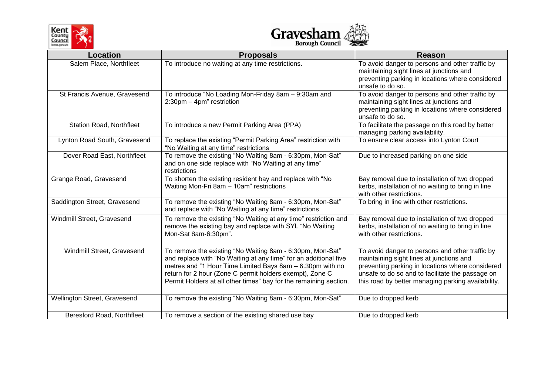



| Location                        | <b>Proposals</b>                                                                                                                                                                                                                                                                                                            | <b>Reason</b>                                                                                                                                                                                                                                             |  |
|---------------------------------|-----------------------------------------------------------------------------------------------------------------------------------------------------------------------------------------------------------------------------------------------------------------------------------------------------------------------------|-----------------------------------------------------------------------------------------------------------------------------------------------------------------------------------------------------------------------------------------------------------|--|
| Salem Place, Northfleet         | To introduce no waiting at any time restrictions.                                                                                                                                                                                                                                                                           | To avoid danger to persons and other traffic by<br>maintaining sight lines at junctions and<br>preventing parking in locations where considered<br>unsafe to do so.                                                                                       |  |
| St Francis Avenue, Gravesend    | To introduce "No Loading Mon-Friday 8am - 9:30am and<br>2:30pm - 4pm" restriction                                                                                                                                                                                                                                           | To avoid danger to persons and other traffic by<br>maintaining sight lines at junctions and<br>preventing parking in locations where considered<br>unsafe to do so.                                                                                       |  |
| <b>Station Road, Northfleet</b> | To introduce a new Permit Parking Area (PPA)                                                                                                                                                                                                                                                                                | To facilitate the passage on this road by better<br>managing parking availability.                                                                                                                                                                        |  |
| Lynton Road South, Gravesend    | To replace the existing "Permit Parking Area" restriction with<br>"No Waiting at any time" restrictions                                                                                                                                                                                                                     | To ensure clear access into Lynton Court                                                                                                                                                                                                                  |  |
| Dover Road East, Northfleet     | To remove the existing "No Waiting 8am - 6:30pm, Mon-Sat"<br>and on one side replace with "No Waiting at any time"<br>restrictions                                                                                                                                                                                          | Due to increased parking on one side                                                                                                                                                                                                                      |  |
| Grange Road, Gravesend          | To shorten the existing resident bay and replace with "No<br>Waiting Mon-Fri 8am - 10am" restrictions                                                                                                                                                                                                                       | Bay removal due to installation of two dropped<br>kerbs, installation of no waiting to bring in line<br>with other restrictions.                                                                                                                          |  |
| Saddington Street, Gravesend    | To remove the existing "No Waiting 8am - 6:30pm, Mon-Sat"<br>and replace with "No Waiting at any time" restrictions                                                                                                                                                                                                         | To bring in line with other restrictions.                                                                                                                                                                                                                 |  |
| Windmill Street, Gravesend      | To remove the existing "No Waiting at any time" restriction and<br>remove the existing bay and replace with SYL "No Waiting<br>Mon-Sat 8am-6:30pm".                                                                                                                                                                         | Bay removal due to installation of two dropped<br>kerbs, installation of no waiting to bring in line<br>with other restrictions.                                                                                                                          |  |
| Windmill Street, Gravesend      | To remove the existing "No Waiting 8am - 6:30pm, Mon-Sat"<br>and replace with "No Waiting at any time" for an additional five<br>metres and "1 Hour Time Limited Bays 8am - 6.30pm with no<br>return for 2 hour (Zone C permit holders exempt), Zone C<br>Permit Holders at all other times" bay for the remaining section. | To avoid danger to persons and other traffic by<br>maintaining sight lines at junctions and<br>preventing parking in locations where considered<br>unsafe to do so and to facilitate the passage on<br>this road by better managing parking availability. |  |
| Wellington Street, Gravesend    | To remove the existing "No Waiting 8am - 6:30pm, Mon-Sat"                                                                                                                                                                                                                                                                   | Due to dropped kerb                                                                                                                                                                                                                                       |  |
| Beresford Road, Northfleet      | To remove a section of the existing shared use bay                                                                                                                                                                                                                                                                          | Due to dropped kerb                                                                                                                                                                                                                                       |  |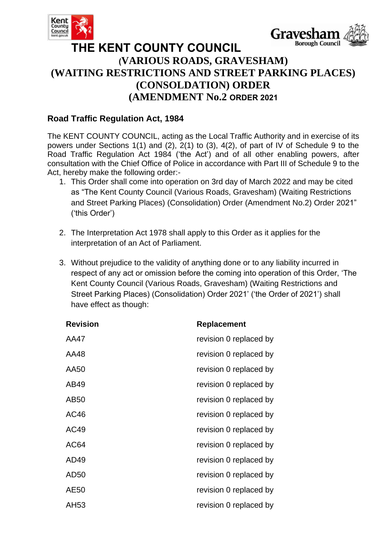



## **THE KENT COUNTY COUNCIL (VARIOUS ROADS, GRAVESHAM) (WAITING RESTRICTIONS AND STREET PARKING PLACES) (CONSOLDATION) ORDER (AMENDMENT No.2 ORDER 2021**

## **Road Traffic Regulation Act, 1984**

The KENT COUNTY COUNCIL, acting as the Local Traffic Authority and in exercise of its powers under Sections 1(1) and (2), 2(1) to (3), 4(2), of part of IV of Schedule 9 to the Road Traffic Regulation Act 1984 ('the Act') and of all other enabling powers, after consultation with the Chief Office of Police in accordance with Part III of Schedule 9 to the Act, hereby make the following order:-

- 1. This Order shall come into operation on 3rd day of March 2022 and may be cited as "The Kent County Council (Various Roads, Gravesham) (Waiting Restrictions and Street Parking Places) (Consolidation) Order (Amendment No.2) Order 2021" ('this Order')
- 2. The Interpretation Act 1978 shall apply to this Order as it applies for the interpretation of an Act of Parliament.
- 3. Without prejudice to the validity of anything done or to any liability incurred in respect of any act or omission before the coming into operation of this Order, 'The Kent County Council (Various Roads, Gravesham) (Waiting Restrictions and Street Parking Places) (Consolidation) Order 2021' ('the Order of 2021') shall have effect as though:

| <b>Revision</b> | Replacement            |  |
|-----------------|------------------------|--|
| AA47            | revision 0 replaced by |  |
| AA48            | revision 0 replaced by |  |
| AA50            | revision 0 replaced by |  |
| AB49            | revision 0 replaced by |  |
| AB50            | revision 0 replaced by |  |
| AC46            | revision 0 replaced by |  |
| AC49            | revision 0 replaced by |  |
| AC64            | revision 0 replaced by |  |
| AD49            | revision 0 replaced by |  |
| AD50            | revision 0 replaced by |  |
| AE50            | revision 0 replaced by |  |
| AH53            | revision 0 replaced by |  |